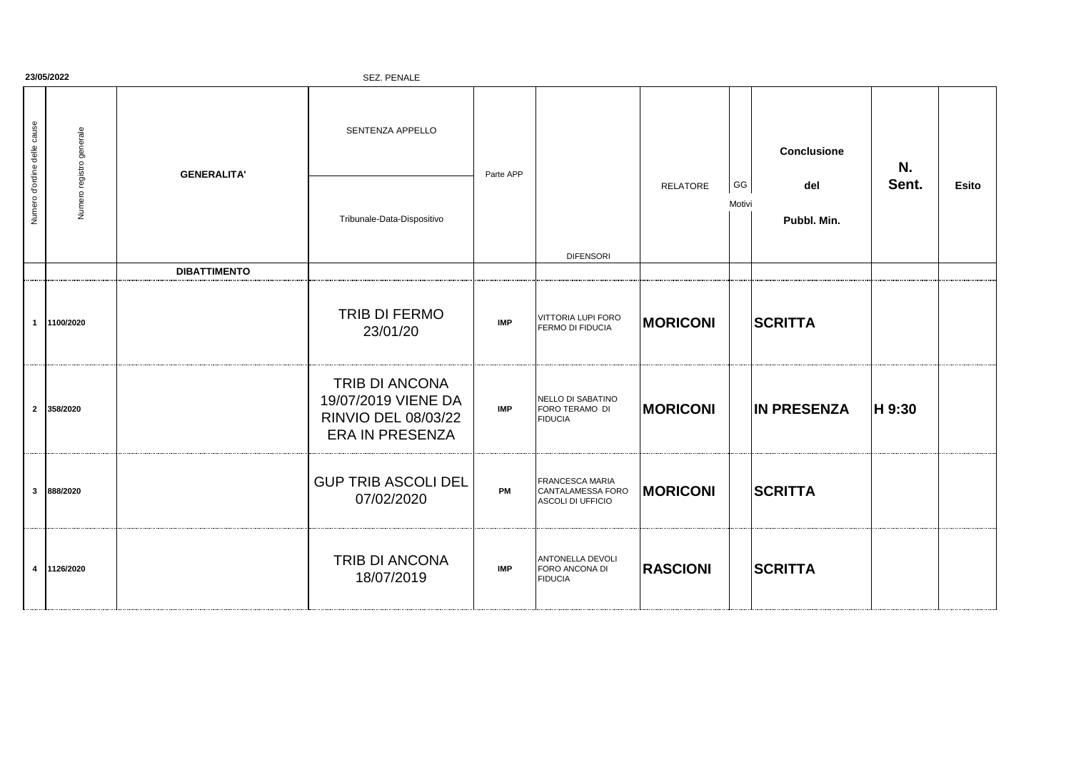| 23/05/2022<br>SEZ. PENALE   |                          |                     |                                                                                        |            |                                                           |                 |              |                    |        |              |
|-----------------------------|--------------------------|---------------------|----------------------------------------------------------------------------------------|------------|-----------------------------------------------------------|-----------------|--------------|--------------------|--------|--------------|
| Numero d'ordine delle cause | Numero registro generale | <b>GENERALITA'</b>  | SENTENZA APPELLO                                                                       | Parte APP  |                                                           |                 |              | <b>Conclusione</b> | N.     |              |
|                             |                          |                     | Tribunale-Data-Dispositivo                                                             |            | <b>DIFENSORI</b>                                          | <b>RELATORE</b> | GG<br>Motivi | del<br>Pubbl. Min. | Sent.  | <b>Esito</b> |
|                             |                          | <b>DIBATTIMENTO</b> |                                                                                        |            |                                                           |                 |              |                    |        |              |
| $\overline{1}$              | 1100/2020                |                     | TRIB DI FERMO<br>23/01/20                                                              | <b>IMP</b> | VITTORIA LUPI FORO<br>FERMO DI FIDUCIA                    | <b>MORICONI</b> |              | <b>SCRITTA</b>     |        |              |
|                             | 2 358/2020               |                     | TRIB DI ANCONA<br>19/07/2019 VIENE DA<br>RINVIO DEL 08/03/22<br><b>ERA IN PRESENZA</b> | <b>IMP</b> | NELLO DI SABATINO<br>FORO TERAMO DI<br><b>FIDUCIA</b>     | <b>MORICONI</b> |              | <b>IN PRESENZA</b> | H 9:30 |              |
| $\overline{\mathbf{3}}$     | 888/2020                 |                     | <b>GUP TRIB ASCOLI DEL</b><br>07/02/2020                                               | PM         | FRANCESCA MARIA<br>CANTALAMESSA FORO<br>ASCOLI DI UFFICIO | <b>MORICONI</b> |              | <b>SCRITTA</b>     |        |              |
| $\overline{4}$              | 1126/2020                |                     | TRIB DI ANCONA<br>18/07/2019                                                           | <b>IMP</b> | ANTONELLA DEVOLI<br>FORO ANCONA DI<br><b>FIDUCIA</b>      | <b>RASCIONI</b> |              | <b>SCRITTA</b>     |        |              |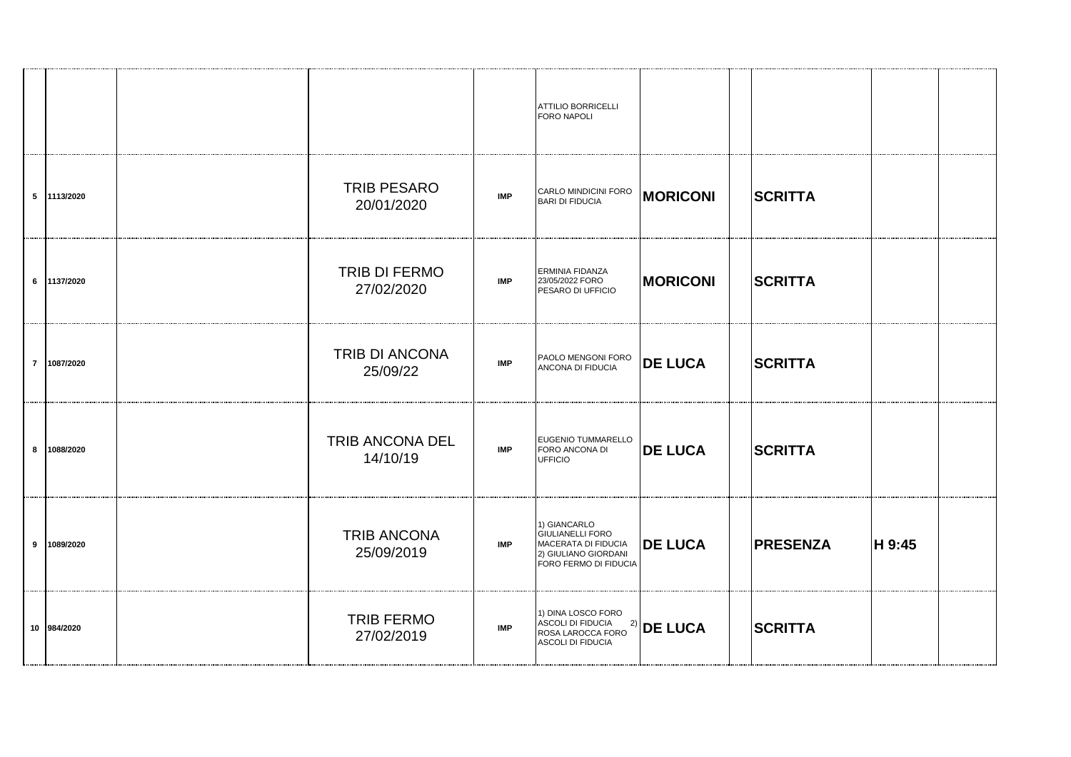|             |                                  |            | ATTILIO BORRICELLI<br>FORO NAPOLI                                                                               |                 |                 |        |  |
|-------------|----------------------------------|------------|-----------------------------------------------------------------------------------------------------------------|-----------------|-----------------|--------|--|
| 5 1113/2020 | <b>TRIB PESARO</b><br>20/01/2020 | <b>IMP</b> | CARLO MINDICINI FORO<br><b>BARI DI FIDUCIA</b>                                                                  | <b>MORICONI</b> | <b>SCRITTA</b>  |        |  |
| 6 1137/2020 | TRIB DI FERMO<br>27/02/2020      | <b>IMP</b> | ERMINIA FIDANZA<br>23/05/2022 FORO<br>PESARO DI UFFICIO                                                         | <b>MORICONI</b> | <b>SCRITTA</b>  |        |  |
| 7 1087/2020 | TRIB DI ANCONA<br>25/09/22       | <b>IMP</b> | PAOLO MENGONI FORO<br>ANCONA DI FIDUCIA                                                                         | <b>DE LUCA</b>  | <b>SCRITTA</b>  |        |  |
| 8 1088/2020 | TRIB ANCONA DEL<br>14/10/19      | <b>IMP</b> | EUGENIO TUMMARELLO<br>FORO ANCONA DI<br><b>UFFICIO</b>                                                          | <b>DE LUCA</b>  | <b>SCRITTA</b>  |        |  |
| 9 1089/2020 | <b>TRIB ANCONA</b><br>25/09/2019 | <b>IMP</b> | 1) GIANCARLO<br><b>GIULIANELLI FORO</b><br>MACERATA DI FIDUCIA<br>2) GIULIANO GIORDANI<br>FORO FERMO DI FIDUCIA | <b>DE LUCA</b>  | <b>PRESENZA</b> | H 9:45 |  |
| 10 984/2020 | <b>TRIB FERMO</b><br>27/02/2019  | <b>IMP</b> | 1) DINA LOSCO FORO<br>ASCOLI DI FIDUCIA                                                                         |                 | <b>SCRITTA</b>  |        |  |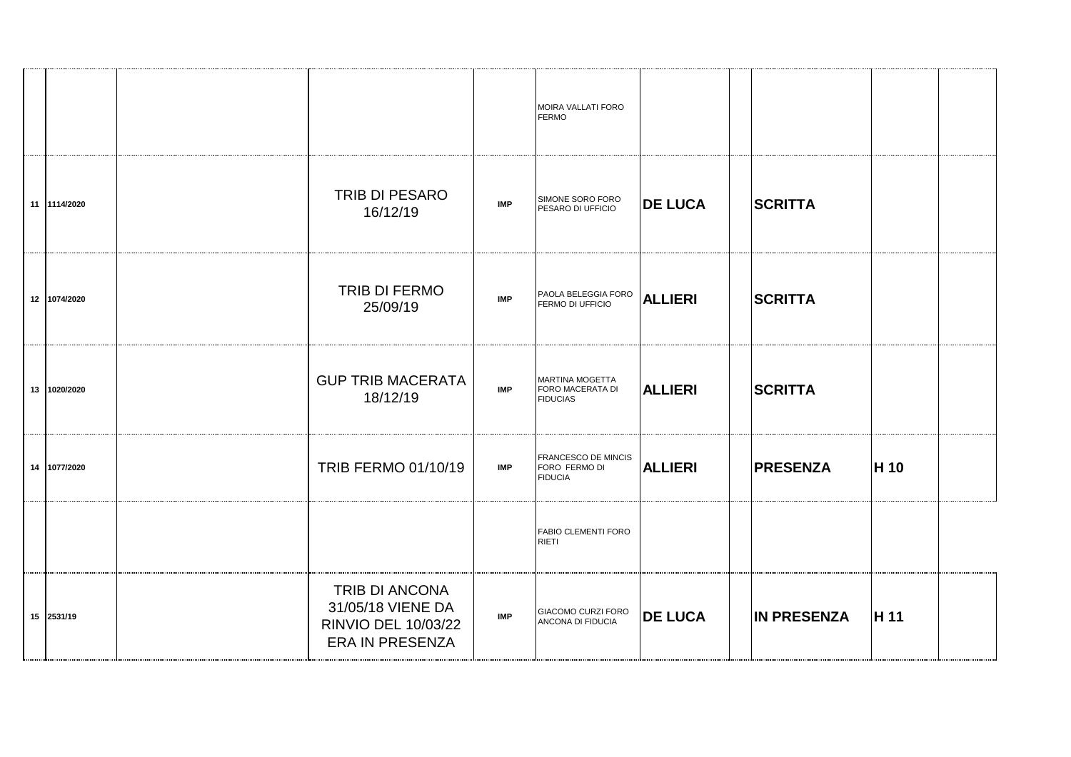|              |                                                                                      |            | MOIRA VALLATI FORO<br><b>FERMO</b>                     |                |                    |      |  |
|--------------|--------------------------------------------------------------------------------------|------------|--------------------------------------------------------|----------------|--------------------|------|--|
| 11 114/2020  | TRIB DI PESARO<br>16/12/19                                                           | <b>IMP</b> | SIMONE SORO FORO<br>PESARO DI UFFICIO                  | <b>DE LUCA</b> | <b>SCRITTA</b>     |      |  |
| 12 1074/2020 | TRIB DI FERMO<br>25/09/19                                                            | <b>IMP</b> | PAOLA BELEGGIA FORO<br>FERMO DI UFFICIO                | <b>ALLIERI</b> | <b>SCRITTA</b>     |      |  |
| 13 1020/2020 | <b>GUP TRIB MACERATA</b><br>18/12/19                                                 | <b>IMP</b> | MARTINA MOGETTA<br>FORO MACERATA DI<br><b>FIDUCIAS</b> | <b>ALLIERI</b> | <b>SCRITTA</b>     |      |  |
| 14 1077/2020 | TRIB FERMO 01/10/19                                                                  | <b>IMP</b> | FRANCESCO DE MINCIS<br>FORO FERMO DI<br><b>FIDUCIA</b> | <b>ALLIERI</b> | <b>PRESENZA</b>    | H 10 |  |
|              |                                                                                      |            | FABIO CLEMENTI FORO<br>RIETI                           |                |                    |      |  |
| 15 2531/19   | TRIB DI ANCONA<br>31/05/18 VIENE DA<br>RINVIO DEL 10/03/22<br><b>ERA IN PRESENZA</b> | <b>IMP</b> | GIACOMO CURZI FORO<br>ANCONA DI FIDUCIA                | <b>DE LUCA</b> | <b>IN PRESENZA</b> | H 11 |  |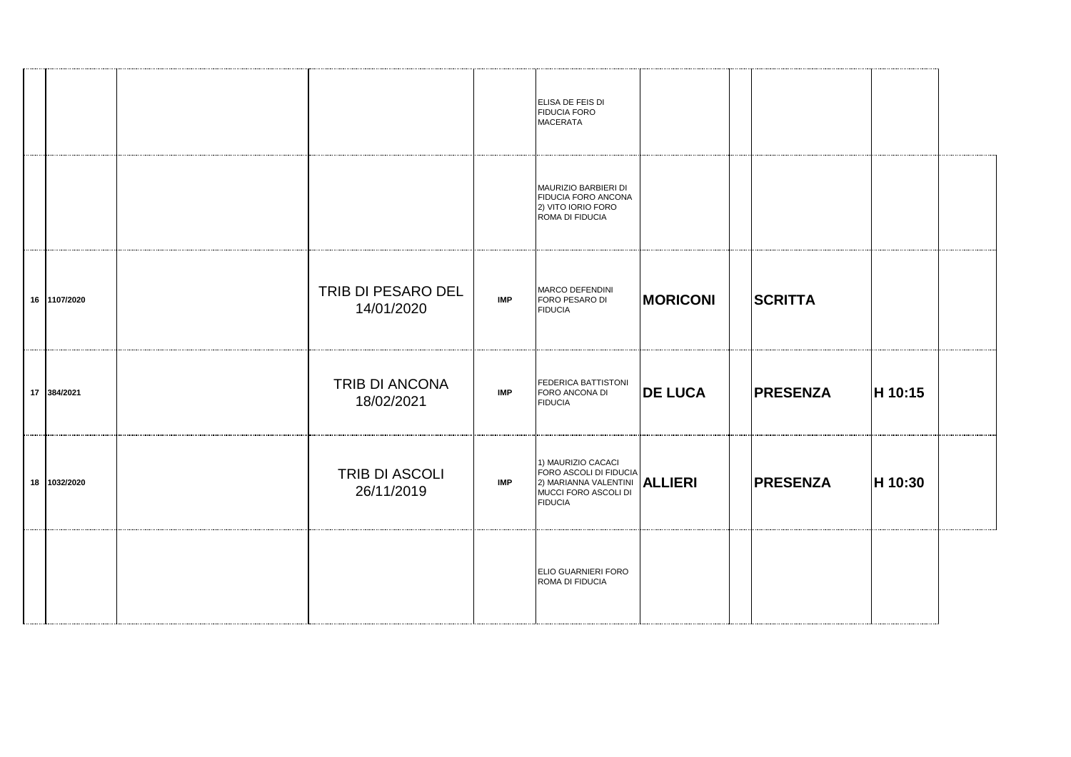|              |                                  |            | ELISA DE FEIS DI<br><b>FIDUCIA FORO</b><br><b>MACERATA</b>                                                                     |                 |                 |         |  |
|--------------|----------------------------------|------------|--------------------------------------------------------------------------------------------------------------------------------|-----------------|-----------------|---------|--|
|              |                                  |            | MAURIZIO BARBIERI DI<br>FIDUCIA FORO ANCONA<br>2) VITO IORIO FORO<br>ROMA DI FIDUCIA                                           |                 |                 |         |  |
| 16 1107/2020 | TRIB DI PESARO DEL<br>14/01/2020 | <b>IMP</b> | MARCO DEFENDINI<br>FORO PESARO DI<br><b>FIDUCIA</b>                                                                            | <b>MORICONI</b> | <b>SCRITTA</b>  |         |  |
| 17 384/2021  | TRIB DI ANCONA<br>18/02/2021     | <b>IMP</b> | FEDERICA BATTISTONI<br>FORO ANCONA DI<br><b>FIDUCIA</b>                                                                        | <b>DE LUCA</b>  | <b>PRESENZA</b> | H 10:15 |  |
| 18 1032/2020 | TRIB DI ASCOLI<br>26/11/2019     | <b>IMP</b> | 1) MAURIZIO CACACI<br>FORO ASCOLI DI FIDUCIA<br>2) MARIANNA VALENTINI <b>ALLIERI</b><br>MUCCI FORO ASCOLI DI<br><b>FIDUCIA</b> |                 | <b>PRESENZA</b> | H 10:30 |  |
|              |                                  |            | ELIO GUARNIERI FORO<br>ROMA DI FIDUCIA                                                                                         |                 |                 |         |  |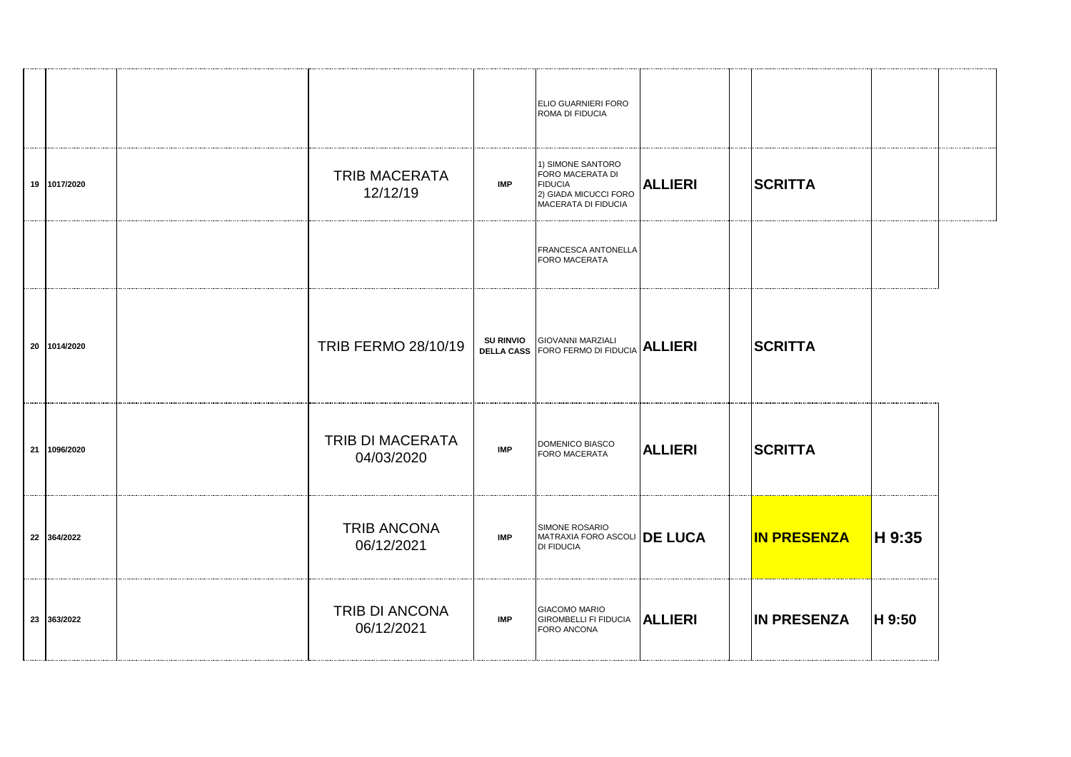|              |                                  |                  | <b>ELIO GUARNIERI FORO</b><br>ROMA DI FIDUCIA                                                           |                |                    |        |  |
|--------------|----------------------------------|------------------|---------------------------------------------------------------------------------------------------------|----------------|--------------------|--------|--|
| 19 1017/2020 | <b>TRIB MACERATA</b><br>12/12/19 | <b>IMP</b>       | 1) SIMONE SANTORO<br>FORO MACERATA DI<br><b>FIDUCIA</b><br>2) GIADA MICUCCI FORO<br>MACERATA DI FIDUCIA | <b>ALLIERI</b> | <b>SCRITTA</b>     |        |  |
|              |                                  |                  | <b>FRANCESCA ANTONELLA</b><br><b>FORO MACERATA</b>                                                      |                |                    |        |  |
| 20 1014/2020 | TRIB FERMO 28/10/19              | <b>SU RINVIO</b> | <b>GIOVANNI MARZIALI</b><br><b>DELLA CASS FORO FERMO DI FIDUCIA</b>                                     | <b>ALLIERI</b> | <b>SCRITTA</b>     |        |  |
| 21 1096/2020 | TRIB DI MACERATA<br>04/03/2020   | <b>IMP</b>       | DOMENICO BIASCO<br><b>FORO MACERATA</b>                                                                 | <b>ALLIERI</b> | <b>SCRITTA</b>     |        |  |
| 22 364/2022  | <b>TRIB ANCONA</b><br>06/12/2021 | <b>IMP</b>       | SIMONE ROSARIO<br>MATRAXIA FORO ASCOLI <b>DE LUCA</b><br><b>DI FIDUCIA</b>                              |                | <b>IN PRESENZA</b> | H 9:35 |  |
| 23 363/2022  | TRIB DI ANCONA<br>06/12/2021     | <b>IMP</b>       | <b>GIACOMO MARIO</b><br><b>GIROMBELLI FI FIDUCIA</b><br>FORO ANCONA                                     | <b>ALLIERI</b> | <b>IN PRESENZA</b> | H 9:50 |  |